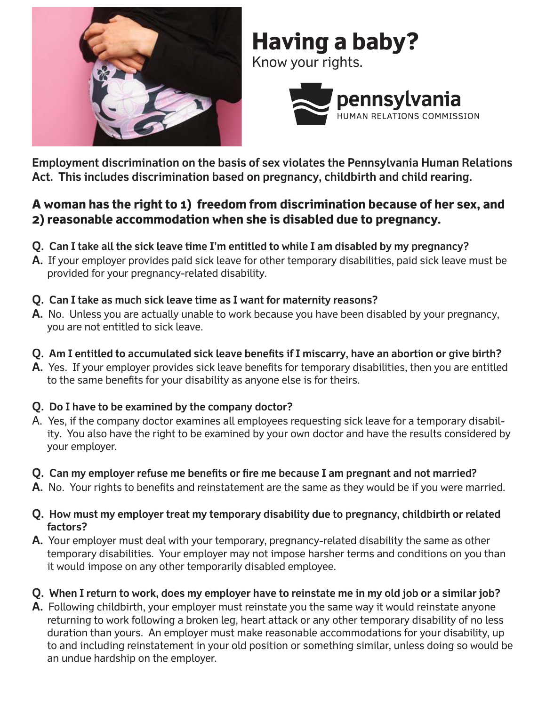

# **Having a baby?**

Know your rights.



**Employment discrimination on the basis of sex violates the Pennsylvania Human Relations Act. This includes discrimination based on pregnancy, childbirth and child rearing.**

## **A woman has the right to 1) freedom from discrimination because of her sex, and 2) reasonable accommodation when she is disabled due to pregnancy.**

- **Q. Can I take all the sick leave time I'm entitled to while I am disabled by my pregnancy?**
- **A.** If your employer provides paid sick leave for other temporary disabilities, paid sick leave must be provided for your pregnancy-related disability.
- **Q. Can I take as much sick leave time as I want for maternity reasons?**
- **A.** No. Unless you are actually unable to work because you have been disabled by your pregnancy, you are not entitled to sick leave.
- **Q.** Am I entitled to accumulated sick leave benefits if I miscarry, have an abortion or give birth?
- **A.** Yes. If your employer provides sick leave benefits for temporary disabilities, then you are entitled to the same benefits for your disability as anyone else is for theirs.
- **Q. Do I have to be examined by the company doctor?**
- A. Yes, if the company doctor examines all employees requesting sick leave for a temporary disability. You also have the right to be examined by your own doctor and have the results considered by your employer.
- Q. Can my employer refuse me benefits or fire me because I am pregnant and not married?
- **A.** No. Your rights to benefits and reinstatement are the same as they would be if you were married.
- **Q. How must my employer treat my temporary disability due to pregnancy, childbirth or related factors?**
- **A.** Your employer must deal with your temporary, pregnancy-related disability the same as other temporary disabilities. Your employer may not impose harsher terms and conditions on you than it would impose on any other temporarily disabled employee.
- **Q. When I return to work, does my employer have to reinstate me in my old job or a similar job?**
- **A.** Following childbirth, your employer must reinstate you the same way it would reinstate anyone returning to work following a broken leg, heart attack or any other temporary disability of no less duration than yours. An employer must make reasonable accommodations for your disability, up to and including reinstatement in your old position or something similar, unless doing so would be an undue hardship on the employer.